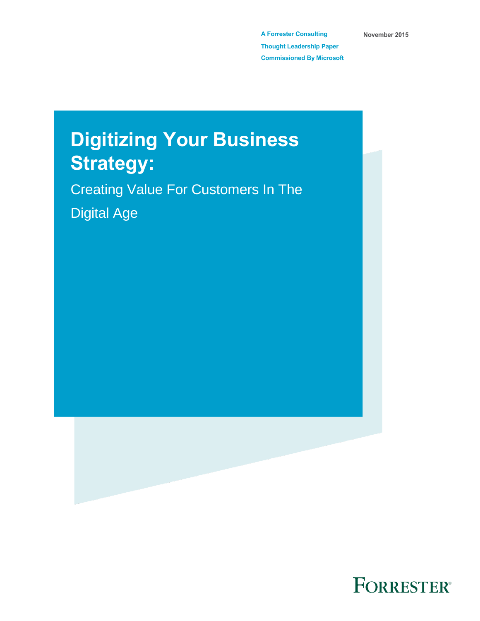**A Forrester Consulting Thought Leadership Paper Commissioned By Microsoft** **November 2015**

# **Digitizing Your Business Strategy:**

Creating Value For Customers In The Digital Age



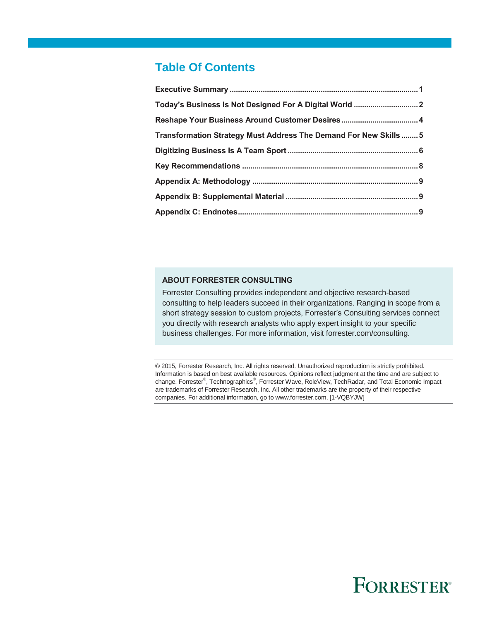# **Table Of Contents**

| Transformation Strategy Must Address The Demand For New Skills  5 |  |
|-------------------------------------------------------------------|--|
|                                                                   |  |
|                                                                   |  |
|                                                                   |  |
|                                                                   |  |
|                                                                   |  |

### **ABOUT FORRESTER CONSULTING**

Forrester Consulting provides independent and objective research-based consulting to help leaders succeed in their organizations. Ranging in scope from a short strategy session to custom projects, Forrester's Consulting services connect you directly with research analysts who apply expert insight to your specific business challenges. For more information, visit forrester.com/consulting.

© 2015, Forrester Research, Inc. All rights reserved. Unauthorized reproduction is strictly prohibited. Information is based on best available resources. Opinions reflect judgment at the time and are subject to change. Forrester®, Technographics®, Forrester Wave, RoleView, TechRadar, and Total Economic Impact are trademarks of Forrester Research, Inc. All other trademarks are the property of their respective companies. For additional information, go to www.forrester.com. [1-VQBYJW]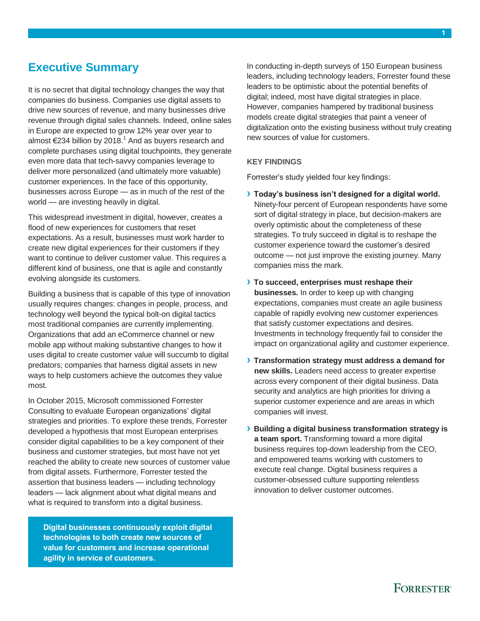# <span id="page-2-0"></span>**Executive Summary**

It is no secret that digital technology changes the way that companies do business. Companies use digital assets to drive new sources of revenue, and many businesses drive revenue through digital sales channels. Indeed, online sales in Europe are expected to grow 12% year over year to almost €234 billion by 2018.<sup>1</sup> And as buyers research and complete purchases using digital touchpoints, they generate even more data that tech-savvy companies leverage to deliver more personalized (and ultimately more valuable) customer experiences. In the face of this opportunity, businesses across Europe — as in much of the rest of the world — are investing heavily in digital.

This widespread investment in digital, however, creates a flood of new experiences for customers that reset expectations. As a result, businesses must work harder to create new digital experiences for their customers if they want to continue to deliver customer value. This requires a different kind of business, one that is agile and constantly evolving alongside its customers.

Building a business that is capable of this type of innovation usually requires changes: changes in people, process, and technology well beyond the typical bolt-on digital tactics most traditional companies are currently implementing. Organizations that add an eCommerce channel or new mobile app without making substantive changes to how it uses digital to create customer value will succumb to digital predators; companies that harness digital assets in new ways to help customers achieve the outcomes they value most.

In October 2015, Microsoft commissioned Forrester Consulting to evaluate European organizations' digital strategies and priorities. To explore these trends, Forrester developed a hypothesis that most European enterprises consider digital capabilities to be a key component of their business and customer strategies, but most have not yet reached the ability to create new sources of customer value from digital assets. Furthermore, Forrester tested the assertion that business leaders — including technology leaders — lack alignment about what digital means and what is required to transform into a digital business.

**Digital businesses continuously exploit digital technologies to both create new sources of value for customers and increase operational agility in service of customers.**

In conducting in-depth surveys of 150 European business leaders, including technology leaders, Forrester found these leaders to be optimistic about the potential benefits of digital; indeed, most have digital strategies in place. However, companies hampered by traditional business models create digital strategies that paint a veneer of digitalization onto the existing business without truly creating new sources of value for customers.

### **KEY FINDINGS**

Forrester's study yielded four key findings:

- **› Today's business isn't designed for a digital world.** Ninety-four percent of European respondents have some sort of digital strategy in place, but decision-makers are overly optimistic about the completeness of these strategies. To truly succeed in digital is to reshape the customer experience toward the customer's desired outcome — not just improve the existing journey. Many companies miss the mark.
- **› To succeed, enterprises must reshape their businesses.** In order to keep up with changing expectations, companies must create an agile business capable of rapidly evolving new customer experiences that satisfy customer expectations and desires. Investments in technology frequently fail to consider the impact on organizational agility and customer experience.
- **› Transformation strategy must address a demand for new skills.** Leaders need access to greater expertise across every component of their digital business. Data security and analytics are high priorities for driving a superior customer experience and are areas in which companies will invest.
- **› Building a digital business transformation strategy is a team sport.** Transforming toward a more digital business requires top-down leadership from the CEO, and empowered teams working with customers to execute real change. Digital business requires a customer-obsessed culture supporting relentless innovation to deliver customer outcomes.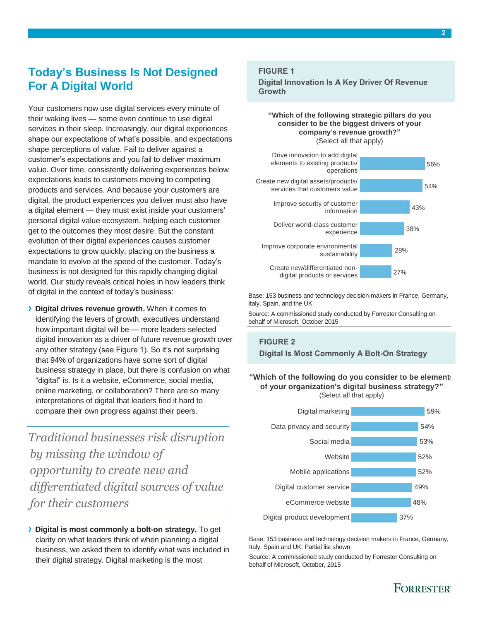# <span id="page-3-0"></span>**Today's Business Is Not Designed For A Digital World**

Your customers now use digital services every minute of their waking lives — some even continue to use digital services in their sleep. Increasingly, our digital experiences shape our expectations of what's possible, and expectations shape perceptions of value. Fail to deliver against a customer's expectations and you fail to deliver maximum value. Over time, consistently delivering experiences below expectations leads to customers moving to competing products and services. And because your customers are digital, the product experiences you deliver must also have a digital element — they must exist inside your customers' personal digital value ecosystem, helping each customer get to the outcomes they most desire. But the constant evolution of their digital experiences causes customer expectations to grow quickly, placing on the business a mandate to evolve at the speed of the customer. Today's business is not designed for this rapidly changing digital world. Our study reveals critical holes in how leaders think of digital in the context of today's business:

**› Digital drives revenue growth.** When it comes to identifying the levers of growth, executives understand how important digital will be — more leaders selected digital innovation as a driver of future revenue growth over any other strategy (see Figure 1). So it's not surprising that 94% of organizations have some sort of digital business strategy in place, but there is confusion on what "digital" is. Is it a website, eCommerce, social media, online marketing, or collaboration? There are so many interpretations of digital that leaders find it hard to compare their own progress against their peers.

*Traditional businesses risk disruption by missing the window of opportunity to create new and differentiated digital sources of value for their customers*

**› Digital is most commonly a bolt-on strategy.** To get clarity on what leaders think of when planning a digital business, we asked them to identify what was included in their digital strategy. Digital marketing is the most

### **FIGURE 1**

**Digital Innovation Is A Key Driver Of Revenue Growth**

### **"Which of the following strategic pillars do you consider to be the biggest drivers of your company's revenue growth?"** (Select all that apply)



Base: 153 business and technology decision-makers in France, Germany, Italy, Spain, and the UK

Source: A commissioned study conducted by Forrester Consulting on behalf of Microsoft, October 2015

## **FIGURE 2 Digital Is Most Commonly A Bolt-On Strategy**

### **"Which of the following do you consider to be elements of your organization's digital business strategy?"** (Select all that apply)



Base: 153 business and technology decision makers in France, Germany, Italy, Spain and UK. Partial list shown.

Source: A commissioned study conducted by Forrester Consulting on behalf of Microsoft, October, 2015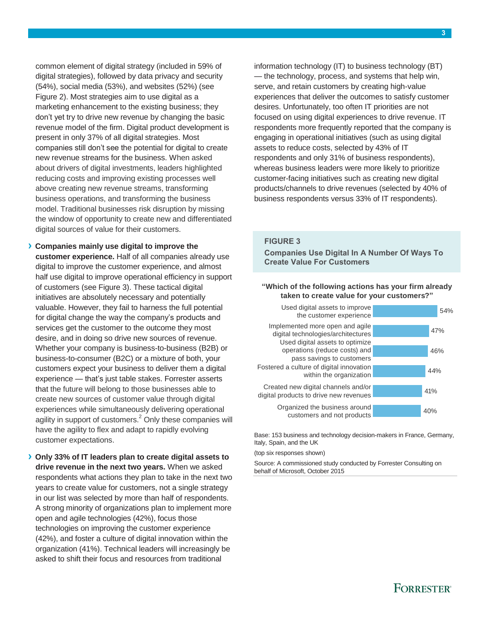common element of digital strategy (included in 59% of digital strategies), followed by data privacy and security (54%), social media (53%), and websites (52%) (see Figure 2). Most strategies aim to use digital as a marketing enhancement to the existing business; they don't yet try to drive new revenue by changing the basic revenue model of the firm. Digital product development is present in only 37% of all digital strategies. Most companies still don't see the potential for digital to create new revenue streams for the business. When asked about drivers of digital investments, leaders highlighted reducing costs and improving existing processes well above creating new revenue streams, transforming business operations, and transforming the business model. Traditional businesses risk disruption by missing the window of opportunity to create new and differentiated digital sources of value for their customers.

**› Companies mainly use digital to improve the customer experience.** Half of all companies already use digital to improve the customer experience, and almost half use digital to improve operational efficiency in support of customers (see Figure 3). These tactical digital initiatives are absolutely necessary and potentially valuable. However, they fail to harness the full potential for digital change the way the company's products and services get the customer to the outcome they most desire, and in doing so drive new sources of revenue. Whether your company is business-to-business (B2B) or business-to-consumer (B2C) or a mixture of both, your customers expect your business to deliver them a digital experience — that's just table stakes. Forrester asserts that the future will belong to those businesses able to create new sources of customer value through digital experiences while simultaneously delivering operational agility in support of customers.<sup>2</sup> Only these companies will have the agility to flex and adapt to rapidly evolving customer expectations.

**› Only 33% of IT leaders plan to create digital assets to drive revenue in the next two years.** When we asked respondents what actions they plan to take in the next two years to create value for customers, not a single strategy in our list was selected by more than half of respondents. A strong minority of organizations plan to implement more open and agile technologies (42%), focus those technologies on improving the customer experience (42%), and foster a culture of digital innovation within the organization (41%). Technical leaders will increasingly be asked to shift their focus and resources from traditional

information technology (IT) to business technology (BT) — the technology, process, and systems that help win, serve, and retain customers by creating high-value experiences that deliver the outcomes to satisfy customer desires. Unfortunately, too often IT priorities are not focused on using digital experiences to drive revenue. IT respondents more frequently reported that the company is engaging in operational initiatives (such as using digital assets to reduce costs, selected by 43% of IT respondents and only 31% of business respondents), whereas business leaders were more likely to prioritize customer-facing initiatives such as creating new digital products/channels to drive revenues (selected by 40% of business respondents versus 33% of IT respondents).

### **FIGURE 3**

**Companies Use Digital In A Number Of Ways To Create Value For Customers**

### **"Which of the following actions has your firm already taken to create value for your customers?"**



Base: 153 business and technology decision-makers in France, Germany, Italy, Spain, and the UK

(top six responses shown)

Source: A commissioned study conducted by Forrester Consulting on behalf of Microsoft, October 2015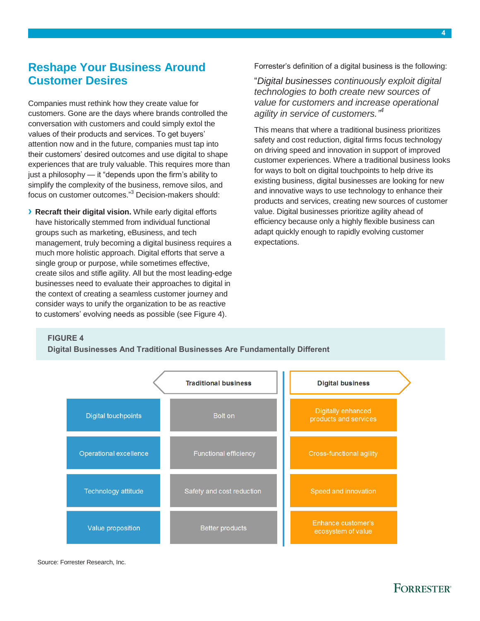# <span id="page-5-0"></span>**Reshape Your Business Around Customer Desires**

Companies must rethink how they create value for customers. Gone are the days where brands controlled the conversation with customers and could simply extol the values of their products and services. To get buyers' attention now and in the future, companies must tap into their customers' desired outcomes and use digital to shape experiences that are truly valuable. This requires more than just a philosophy — it "depends upon the firm's ability to simplify the complexity of the business, remove silos, and focus on customer outcomes." <sup>3</sup> Decision-makers should:

**› Recraft their digital vision.** While early digital efforts have historically stemmed from individual functional groups such as marketing, eBusiness, and tech management, truly becoming a digital business requires a much more holistic approach. Digital efforts that serve a single group or purpose, while sometimes effective, create silos and stifle agility. All but the most leading-edge businesses need to evaluate their approaches to digital in the context of creating a seamless customer journey and consider ways to unify the organization to be as reactive to customers' evolving needs as possible (see Figure 4).

Forrester's definition of a digital business is the following:

"*Digital businesses continuously exploit digital technologies to both create new sources of value for customers and increase operational agility in service of customers." 4*

This means that where a traditional business prioritizes safety and cost reduction, digital firms focus technology on driving speed and innovation in support of improved customer experiences. Where a traditional business looks for ways to bolt on digital touchpoints to help drive its existing business, digital businesses are looking for new and innovative ways to use technology to enhance their products and services, creating new sources of customer value. Digital businesses prioritize agility ahead of efficiency because only a highly flexible business can adapt quickly enough to rapidly evolving customer expectations.

### **FIGURE 4**

**Digital Businesses And Traditional Businesses Are Fundamentally Different**



#### Source: Forrester Research, Inc.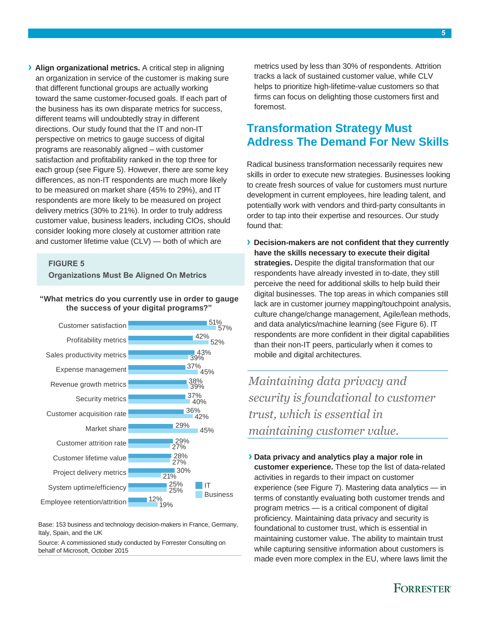**› Align organizational metrics.** A critical step in aligning an organization in service of the customer is making sure that different functional groups are actually working toward the same customer-focused goals. If each part of the business has its own disparate metrics for success, different teams will undoubtedly stray in different directions. Our study found that the IT and non-IT perspective on metrics to gauge success of digital programs are reasonably aligned – with customer satisfaction and profitability ranked in the top three for each group (see Figure 5). However, there are some key differences, as non-IT respondents are much more likely to be measured on market share (45% to 29%), and IT respondents are more likely to be measured on project delivery metrics (30% to 21%). In order to truly address customer value, business leaders, including CIOs, should consider looking more closely at customer attrition rate and customer lifetime value (CLV) — both of which are

### **FIGURE 5**

**Organizations Must Be Aligned On Metrics**

### **"What metrics do you currently use in order to gauge the success of your digital programs?"**



Base: 153 business and technology decision-makers in France, Germany, Italy, Spain, and the UK

Source: A commissioned study conducted by Forrester Consulting on behalf of Microsoft, October 2015

metrics used by less than 30% of respondents. Attrition tracks a lack of sustained customer value, while CLV helps to prioritize high-lifetime-value customers so that firms can focus on delighting those customers first and foremost.

# <span id="page-6-0"></span>**Transformation Strategy Must Address The Demand For New Skills**

Radical business transformation necessarily requires new skills in order to execute new strategies. Businesses looking to create fresh sources of value for customers must nurture development in current employees, hire leading talent, and potentially work with vendors and third-party consultants in order to tap into their expertise and resources. Our study found that:

**› Decision-makers are not confident that they currently have the skills necessary to execute their digital strategies.** Despite the digital transformation that our respondents have already invested in to-date, they still perceive the need for additional skills to help build their digital businesses. The top areas in which companies still lack are in customer journey mapping/touchpoint analysis, culture change/change management, Agile/lean methods, and data analytics/machine learning (see Figure 6). IT respondents are more confident in their digital capabilities than their non-IT peers, particularly when it comes to mobile and digital architectures.

*Maintaining data privacy and security is foundational to customer trust, which is essential in maintaining customer value.*

**› Data privacy and analytics play a major role in customer experience.** These top the list of data-related activities in regards to their impact on customer experience (see Figure 7). Mastering data analytics — in terms of constantly evaluating both customer trends and program metrics — is a critical component of digital proficiency. Maintaining data privacy and security is foundational to customer trust, which is essential in maintaining customer value. The ability to maintain trust while capturing sensitive information about customers is made even more complex in the EU, where laws limit the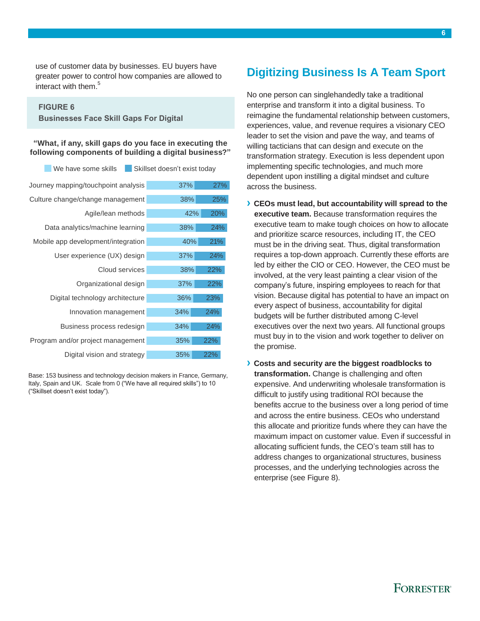use of customer data by businesses. EU buyers have greater power to control how companies are allowed to interact with them. 5

### **FIGURE 6**

**Businesses Face Skill Gaps For Digital**

**"What, if any, skill gaps do you face in executing the following components of building a digital business?"**

| Skillset doesn't exist today<br>We have some skills |            |  |
|-----------------------------------------------------|------------|--|
| Journey mapping/touchpoint analysis                 | 27%<br>37% |  |
| Culture change/change management                    | 38%<br>25% |  |
| Agile/lean methods                                  | 20%<br>42% |  |
| Data analytics/machine learning                     | 24%<br>38% |  |
| Mobile app development/integration                  | 40%<br>21% |  |
| User experience (UX) design                         | 37%<br>24% |  |
| Cloud services                                      | 38%<br>22% |  |
| Organizational design                               | 22%<br>37% |  |
| Digital technology architecture                     | 36%<br>23% |  |
| Innovation management                               | 34%<br>24% |  |
| Business process redesign                           | 24%<br>34% |  |
| Program and/or project management                   | 35%<br>22% |  |
| Digital vision and strategy                         | 35%<br>22% |  |

<span id="page-7-0"></span>Base: 153 business and technology decision makers in France, Germany, Italy, Spain and UK. Scale from 0 ("We have all required skills") to 10 ("Skillset doesn't exist today").

# **Digitizing Business Is A Team Sport**

No one person can singlehandedly take a traditional enterprise and transform it into a digital business. To reimagine the fundamental relationship between customers, experiences, value, and revenue requires a visionary CEO leader to set the vision and pave the way, and teams of willing tacticians that can design and execute on the transformation strategy. Execution is less dependent upon implementing specific technologies, and much more dependent upon instilling a digital mindset and culture across the business.

- **› CEOs must lead, but accountability will spread to the executive team.** Because transformation requires the executive team to make tough choices on how to allocate and prioritize scarce resources, including IT, the CEO must be in the driving seat. Thus, digital transformation requires a top-down approach. Currently these efforts are led by either the CIO or CEO. However, the CEO must be involved, at the very least painting a clear vision of the company's future, inspiring employees to reach for that vision. Because digital has potential to have an impact on every aspect of business, accountability for digital budgets will be further distributed among C-level executives over the next two years. All functional groups must buy in to the vision and work together to deliver on the promise.
- **› Costs and security are the biggest roadblocks to transformation.** Change is challenging and often expensive. And underwriting wholesale transformation is difficult to justify using traditional ROI because the benefits accrue to the business over a long period of time and across the entire business. CEOs who understand this allocate and prioritize funds where they can have the maximum impact on customer value. Even if successful in allocating sufficient funds, the CEO's team still has to address changes to organizational structures, business processes, and the underlying technologies across the enterprise (see Figure 8).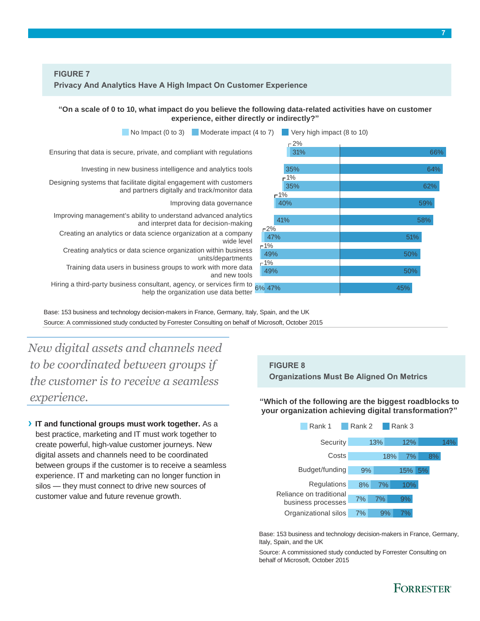**"On a scale of 0 to 10, what impact do you believe the following data-related activities have on customer experience, either directly or indirectly?"**



Source: A commissioned study conducted by Forrester Consulting on behalf of Microsoft, October 2015

*New digital assets and channels need to be coordinated between groups if the customer is to receive a seamless experience.*

**› IT and functional groups must work together.** As a best practice, marketing and IT must work together to create powerful, high-value customer journeys. New digital assets and channels need to be coordinated between groups if the customer is to receive a seamless experience. IT and marketing can no longer function in silos — they must connect to drive new sources of customer value and future revenue growth.

### **FIGURE 8**

**Organizations Must Be Aligned On Metrics**

**"Which of the following are the biggest roadblocks to your organization achieving digital transformation?"**



Base: 153 business and technology decision-makers in France, Germany, Italy, Spain, and the UK

Source: A commissioned study conducted by Forrester Consulting on behalf of Microsoft, October 2015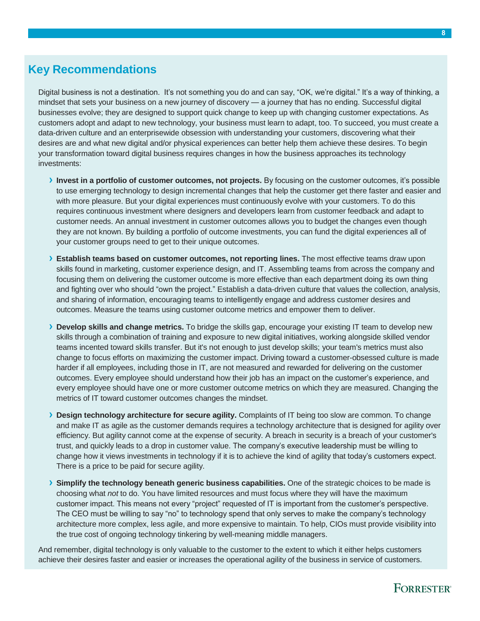# <span id="page-9-0"></span>**Key Recommendations**

Digital business is not a destination. It's not something you do and can say, "OK, we're digital." It's a way of thinking, a mindset that sets your business on a new journey of discovery — a journey that has no ending. Successful digital businesses evolve; they are designed to support quick change to keep up with changing customer expectations. As customers adopt and adapt to new technology, your business must learn to adapt, too. To succeed, you must create a data-driven culture and an enterprisewide obsession with understanding your customers, discovering what their desires are and what new digital and/or physical experiences can better help them achieve these desires. To begin your transformation toward digital business requires changes in how the business approaches its technology investments:

- **› Invest in a portfolio of customer outcomes, not projects.** By focusing on the customer outcomes, it's possible to use emerging technology to design incremental changes that help the customer get there faster and easier and with more pleasure. But your digital experiences must continuously evolve with your customers. To do this requires continuous investment where designers and developers learn from customer feedback and adapt to customer needs. An annual investment in customer outcomes allows you to budget the changes even though they are not known. By building a portfolio of outcome investments, you can fund the digital experiences all of your customer groups need to get to their unique outcomes.
- **› Establish teams based on customer outcomes, not reporting lines.** The most effective teams draw upon skills found in marketing, customer experience design, and IT. Assembling teams from across the company and focusing them on delivering the customer outcome is more effective than each department doing its own thing and fighting over who should "own the project." Establish a data-driven culture that values the collection, analysis, and sharing of information, encouraging teams to intelligently engage and address customer desires and outcomes. Measure the teams using customer outcome metrics and empower them to deliver.
- **› Develop skills and change metrics.** To bridge the skills gap, encourage your existing IT team to develop new skills through a combination of training and exposure to new digital initiatives, working alongside skilled vendor teams incented toward skills transfer. But it's not enough to just develop skills; your team's metrics must also change to focus efforts on maximizing the customer impact. Driving toward a customer-obsessed culture is made harder if all employees, including those in IT, are not measured and rewarded for delivering on the customer outcomes. Every employee should understand how their job has an impact on the customer's experience, and every employee should have one or more customer outcome metrics on which they are measured. Changing the metrics of IT toward customer outcomes changes the mindset.
- **› Design technology architecture for secure agility.** Complaints of IT being too slow are common. To change and make IT as agile as the customer demands requires a technology architecture that is designed for agility over efficiency. But agility cannot come at the expense of security. A breach in security is a breach of your customer's trust, and quickly leads to a drop in customer value. The company's executive leadership must be willing to change how it views investments in technology if it is to achieve the kind of agility that today's customers expect. There is a price to be paid for secure agility.
- **› Simplify the technology beneath generic business capabilities.** One of the strategic choices to be made is choosing what *not* to do. You have limited resources and must focus where they will have the maximum customer impact. This means not every "project" requested of IT is important from the customer's perspective. The CEO must be willing to say "no" to technology spend that only serves to make the company's technology architecture more complex, less agile, and more expensive to maintain. To help, CIOs must provide visibility into the true cost of ongoing technology tinkering by well-meaning middle managers.

And remember, digital technology is only valuable to the customer to the extent to which it either helps customers achieve their desires faster and easier or increases the operational agility of the business in service of customers.